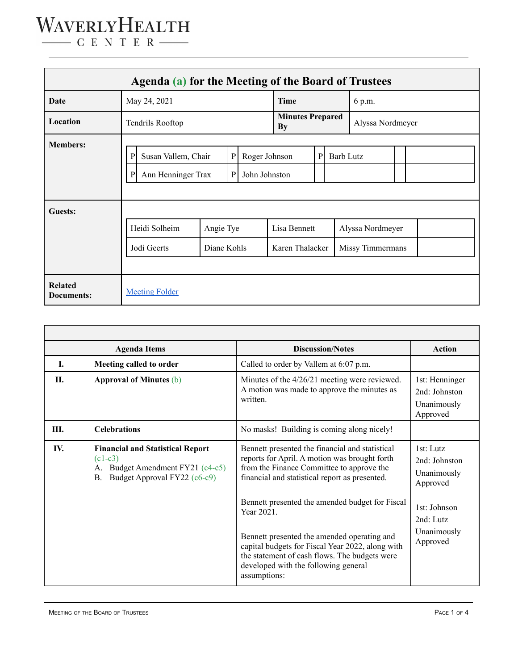## WAVERLYHEALTH  $\begin{tabular}{c} \quad \quad \textbf{C} \textbf{E} \textbf{N} \textbf{T} \textbf{E} \textbf{R} \end{tabular}$

| Agenda (a) for the Meeting of the Board of Trustees |                                                                                                                                          |                          |  |                                 |                  |  |                                      |  |  |  |
|-----------------------------------------------------|------------------------------------------------------------------------------------------------------------------------------------------|--------------------------|--|---------------------------------|------------------|--|--------------------------------------|--|--|--|
| Date                                                | May 24, 2021                                                                                                                             |                          |  | Time                            |                  |  | 6 p.m.                               |  |  |  |
| Location                                            | Tendrils Rooftop                                                                                                                         |                          |  | <b>Minutes Prepared</b><br>By   |                  |  | Alyssa Nordmeyer                     |  |  |  |
| <b>Members:</b>                                     | ${\bf P}$<br>Roger Johnson<br>$\mathbf{P}$<br>Susan Vallem, Chair<br>$\mathbf{P}$<br>Ann Henninger Trax<br>John Johnston<br>$\mathbf{P}$ |                          |  | P                               | <b>Barb Lutz</b> |  |                                      |  |  |  |
| <b>Guests:</b>                                      | Heidi Solheim<br>Jodi Geerts                                                                                                             | Angie Tye<br>Diane Kohls |  | Lisa Bennett<br>Karen Thalacker |                  |  | Alyssa Nordmeyer<br>Missy Timmermans |  |  |  |
| <b>Related</b><br>Documents:                        | <b>Meeting Folder</b>                                                                                                                    |                          |  |                                 |                  |  |                                      |  |  |  |

| <b>Agenda Items</b> |                                                                                                                             | <b>Discussion/Notes</b>                                                                                                                                                                                                                                                                                         | <b>Action</b>                                                                                                 |
|---------------------|-----------------------------------------------------------------------------------------------------------------------------|-----------------------------------------------------------------------------------------------------------------------------------------------------------------------------------------------------------------------------------------------------------------------------------------------------------------|---------------------------------------------------------------------------------------------------------------|
| I.                  | Meeting called to order                                                                                                     | Called to order by Vallem at 6:07 p.m.                                                                                                                                                                                                                                                                          |                                                                                                               |
| Н.                  | <b>Approval of Minutes (b)</b>                                                                                              | Minutes of the $4/26/21$ meeting were reviewed.<br>A motion was made to approve the minutes as<br>written.                                                                                                                                                                                                      | 1st: Henninger<br>$2nd$ Johnston<br>Unanimously<br>Approved                                                   |
| Ш.                  | <b>Celebrations</b>                                                                                                         | No masks! Building is coming along nicely!                                                                                                                                                                                                                                                                      |                                                                                                               |
| IV.                 | <b>Financial and Statistical Report</b><br>$(c1-c3)$<br>Budget Amendment FY21 (c4-c5)<br>Budget Approval FY22 (c6-c9)<br>B. | Bennett presented the financial and statistical<br>reports for April. A motion was brought forth<br>from the Finance Committee to approve the<br>financial and statistical report as presented.<br>Bennett presented the amended budget for Fiscal<br>Year 2021.<br>Bennett presented the amended operating and | 1st: Lutz<br>2nd: Johnston<br>Unanimously<br>Approved<br>1st: Johnson<br>2nd: Lutz<br>Unanimously<br>Approved |
|                     |                                                                                                                             | capital budgets for Fiscal Year 2022, along with<br>the statement of cash flows. The budgets were<br>developed with the following general<br>assumptions:                                                                                                                                                       |                                                                                                               |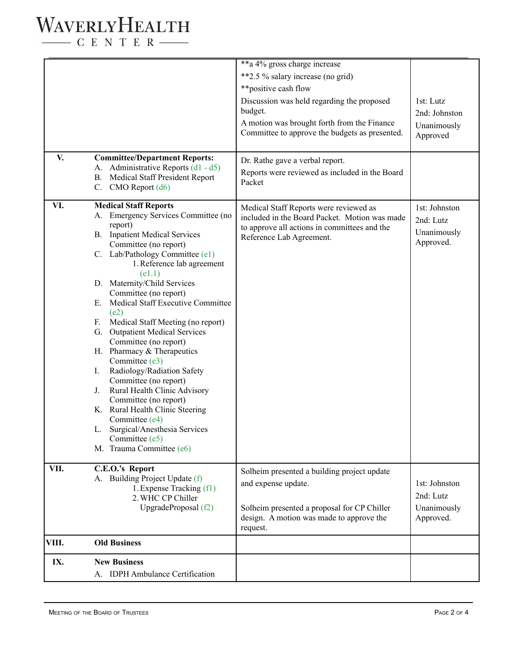## WAVERLYHEALTH

 $\begin{tabular}{c} \quad \quad \textbf{C} \textbf{E} \textbf{N} \textbf{T} \textbf{E} \textbf{R} \end{tabular}$ 

|       |                                                                                                                                                                                                                                                                                                                                                                                                                                                                                                                                                                                                                                                                                                                         | **a 4% gross charge increase                                                                                                                           |                                                        |
|-------|-------------------------------------------------------------------------------------------------------------------------------------------------------------------------------------------------------------------------------------------------------------------------------------------------------------------------------------------------------------------------------------------------------------------------------------------------------------------------------------------------------------------------------------------------------------------------------------------------------------------------------------------------------------------------------------------------------------------------|--------------------------------------------------------------------------------------------------------------------------------------------------------|--------------------------------------------------------|
|       |                                                                                                                                                                                                                                                                                                                                                                                                                                                                                                                                                                                                                                                                                                                         | **2.5 % salary increase (no grid)                                                                                                                      |                                                        |
|       |                                                                                                                                                                                                                                                                                                                                                                                                                                                                                                                                                                                                                                                                                                                         | **positive cash flow                                                                                                                                   |                                                        |
|       |                                                                                                                                                                                                                                                                                                                                                                                                                                                                                                                                                                                                                                                                                                                         | Discussion was held regarding the proposed<br>budget.<br>A motion was brought forth from the Finance<br>Committee to approve the budgets as presented. | 1st: Lutz<br>2nd: Johnston<br>Unanimously<br>Approved  |
| V.    | <b>Committee/Department Reports:</b>                                                                                                                                                                                                                                                                                                                                                                                                                                                                                                                                                                                                                                                                                    | Dr. Rathe gave a verbal report.                                                                                                                        |                                                        |
|       | A. Administrative Reports (d1 - d5)<br><b>B.</b> Medical Staff President Report<br>C. CMO Report $(d6)$                                                                                                                                                                                                                                                                                                                                                                                                                                                                                                                                                                                                                 | Reports were reviewed as included in the Board<br>Packet                                                                                               |                                                        |
| VI.   | <b>Medical Staff Reports</b>                                                                                                                                                                                                                                                                                                                                                                                                                                                                                                                                                                                                                                                                                            | Medical Staff Reports were reviewed as                                                                                                                 | 1st: Johnston                                          |
|       | A. Emergency Services Committee (no<br>report)<br><b>B.</b> Inpatient Medical Services<br>Committee (no report)<br>C. Lab/Pathology Committee (e1)<br>1. Reference lab agreement<br>(e1.1)<br>D. Maternity/Child Services<br>Committee (no report)<br>E. Medical Staff Executive Committee<br>(e2)<br>F. Medical Staff Meeting (no report)<br>G. Outpatient Medical Services<br>Committee (no report)<br>H. Pharmacy & Therapeutics<br>Committee (e3)<br>Radiology/Radiation Safety<br>Ι.<br>Committee (no report)<br>Rural Health Clinic Advisory<br>J.<br>Committee (no report)<br>K. Rural Health Clinic Steering<br>Committee (e4)<br>L. Surgical/Anesthesia Services<br>Committee (e5)<br>M. Trauma Committee (e6) | included in the Board Packet. Motion was made<br>to approve all actions in committees and the<br>Reference Lab Agreement.                              | 2nd: Lutz<br>Unanimously<br>Approved.                  |
| VII.  | C.E.O.'s Report                                                                                                                                                                                                                                                                                                                                                                                                                                                                                                                                                                                                                                                                                                         | Solheim presented a building project update                                                                                                            |                                                        |
|       | A. Building Project Update (f)<br>1. Expense Tracking (f1)<br>2. WHC CP Chiller<br>UpgradeProposal (f2)                                                                                                                                                                                                                                                                                                                                                                                                                                                                                                                                                                                                                 | and expense update.<br>Solheim presented a proposal for CP Chiller<br>design. A motion was made to approve the<br>request.                             | 1st: Johnston<br>2nd: Lutz<br>Unanimously<br>Approved. |
| VIII. | <b>Old Business</b>                                                                                                                                                                                                                                                                                                                                                                                                                                                                                                                                                                                                                                                                                                     |                                                                                                                                                        |                                                        |
| IX.   | <b>New Business</b>                                                                                                                                                                                                                                                                                                                                                                                                                                                                                                                                                                                                                                                                                                     |                                                                                                                                                        |                                                        |
|       | A. IDPH Ambulance Certification                                                                                                                                                                                                                                                                                                                                                                                                                                                                                                                                                                                                                                                                                         |                                                                                                                                                        |                                                        |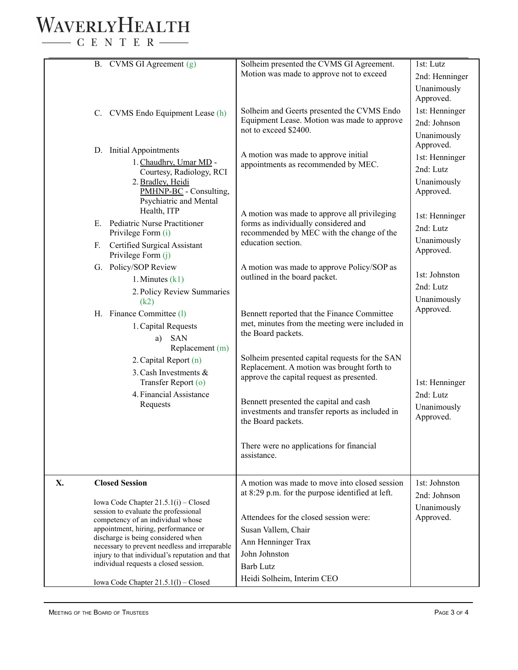## WAVERLYHEALTH  $-$  C E N T E R  $-$

B. CVMS GI Agreement (g) C. CVMS Endo Equipment Lease (h) D. Initial Appointments 1.Chaudhry, Umar MD - Courtesy, Radiology, RCI 2.Bradley, Heidi PMHNP-BC - Consulting, Psychiatric and Mental Health, ITP E. Pediatric Nurse Practitioner Privilege Form (i) F. Certified Surgical Assistant Privilege Form (j) G. Policy/SOP Review 1. Minutes (k1) 2. Policy Review Summaries (k2) H. Finance Committee (l) 1.Capital Requests a) SAN Replacement (m) 2.Capital Report (n) 3.Cash Investments & Transfer Report (o) 4. Financial Assistance Requests Solheim presented the CVMS GI Agreement. Motion was made to approve not to exceed Solheim and Geerts presented the CVMS Endo Equipment Lease. Motion was made to approve not to exceed \$2400. A motion was made to approve initial appointments as recommended by MEC. A motion was made to approve all privileging forms as individually considered and recommended by MEC with the change of the education section. A motion was made to approve Policy/SOP as outlined in the board packet. Bennett reported that the Finance Committee met, minutes from the meeting were included in the Board packets. Solheim presented capital requests for the SAN Replacement. A motion was brought forth to approve the capital request as presented. Bennett presented the capital and cash investments and transfer reports as included in the Board packets. There were no applications for financial assistance. 1st: Lutz 2nd: Henninger Unanimously Approved. 1st: Henninger 2nd: Johnson Unanimously Approved. 1st: Henninger 2nd: Lutz Unanimously Approved. 1st: Henninger 2nd: Lutz Unanimously Approved. 1st: Johnston 2nd: Lutz Unanimously Approved. 1st: Henninger 2nd: Lutz Unanimously Approved. **X. Closed Session** Iowa Code Chapter 21.5.1(i) – Closed session to evaluate the professional competency of an individual whose appointment, hiring, performance or discharge is being considered when necessary to prevent needless and irreparable injury to that individual's reputation and that individual requests a closed session. Iowa Code Chapter 21.5.1(l) – Closed A motion was made to move into closed session at 8:29 p.m. for the purpose identified at left. Attendees for the closed session were: Susan Vallem, Chair Ann Henninger Trax John Johnston Barb Lutz Heidi Solheim, Interim CEO 1st: Johnston 2nd: Johnson Unanimously Approved.